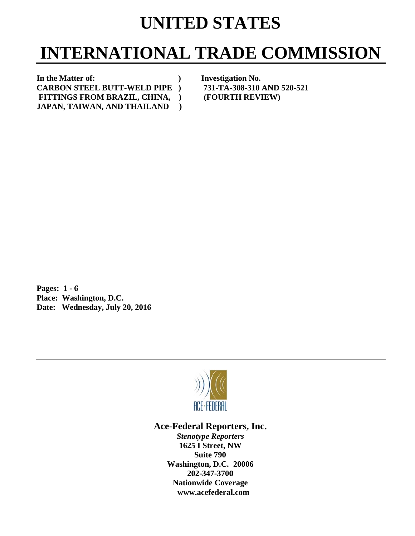# **UNITED STATES**

# **INTERNATIONAL TRADE COMMISSION**

In the Matter of: **C CARBON S STEEL BUT TT-WELD P PIPE ) JAPAN, TAIWAN, AND THAILAND FITTINGS FROM BR RAZIL, CHI INA, ) )** 

**Investigation No. 731-TA-3 308-310 AN ND 520-521 (FOURTH REVIEW)** 

**P Pages: 1 - 6** Pages: 1 - 6<br>Place: Washington, D.C. Date: Wednesday, July 20, 2016



## Ace-Federal Reporters, Inc.

**Stenotype Reporters 1625 I Street, NW Washin gton, D.C. 20006 20 02-347-3700** 202-347-3700<br>Nationwide Coverage **www w.acefederal l.com Suite 790**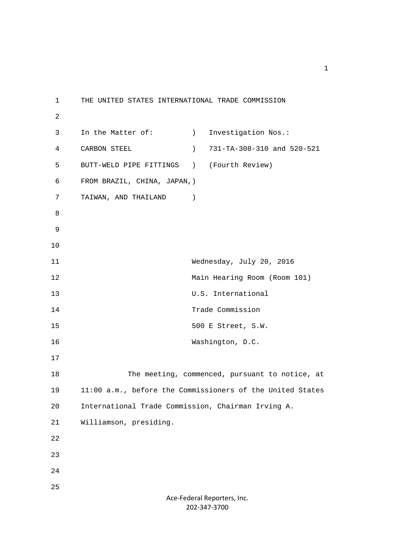1 THE UNITED STATES INTERNATIONAL TRADE COMMISSION 2 3 In the Matter of: (a) Investigation Nos.: 4 CARBON STEEL ) 731-TA-308-310 and 520-521 5 BUTT-WELD PIPE FITTINGS ) (Fourth Review) 6 FROM BRAZIL, CHINA, JAPAN,) 7 TAIWAN, AND THAILAND ) 8 9 10 11 Wednesday, July 20, 2016 12 Main Hearing Room (Room 101) 13 U.S. International 14 Trade Commission 15 500 E Street, S.W. 16 Washington, D.C. 17 18 The meeting, commenced, pursuant to notice, at 19 11:00 a.m., before the Commissioners of the United States 20 International Trade Commission, Chairman Irving A. 21 Williamson, presiding. 22 23 24 25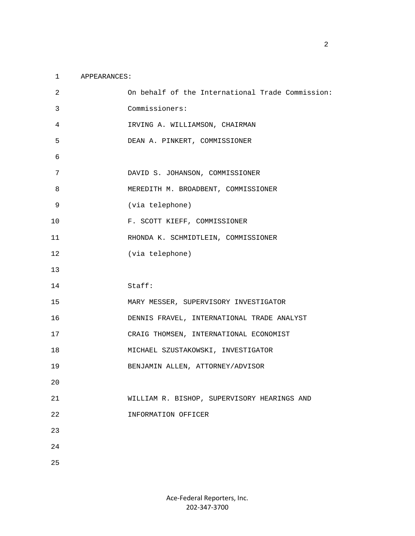#### 1 APPEARANCES:

| 2  | On behalf of the International Trade Commission: |
|----|--------------------------------------------------|
| 3  | Commissioners:                                   |
| 4  | IRVING A. WILLIAMSON, CHAIRMAN                   |
| 5  | DEAN A. PINKERT, COMMISSIONER                    |
| 6  |                                                  |
| 7  | DAVID S. JOHANSON, COMMISSIONER                  |
| 8  | MEREDITH M. BROADBENT, COMMISSIONER              |
| 9  | (via telephone)                                  |
| 10 | F. SCOTT KIEFF, COMMISSIONER                     |
| 11 | RHONDA K. SCHMIDTLEIN, COMMISSIONER              |
| 12 | (via telephone)                                  |
| 13 |                                                  |
|    |                                                  |
| 14 | Staff:                                           |
| 15 | MARY MESSER, SUPERVISORY INVESTIGATOR            |
| 16 | DENNIS FRAVEL, INTERNATIONAL TRADE ANALYST       |
| 17 | CRAIG THOMSEN, INTERNATIONAL ECONOMIST           |
| 18 | MICHAEL SZUSTAKOWSKI, INVESTIGATOR               |
| 19 | BENJAMIN ALLEN, ATTORNEY/ADVISOR                 |
| 20 |                                                  |
| 21 | WILLIAM R. BISHOP, SUPERVISORY HEARINGS AND      |
| 22 | INFORMATION OFFICER                              |
| 23 |                                                  |
| 24 |                                                  |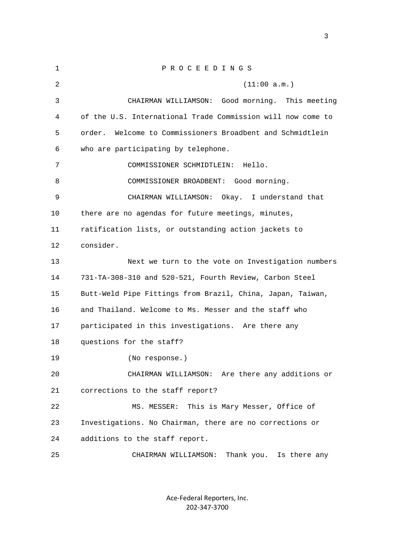| $\mathbf{1}$ | PROCEEDINGS                                                  |
|--------------|--------------------------------------------------------------|
| 2            | (11:00 a.m.)                                                 |
| 3            | CHAIRMAN WILLIAMSON:<br>Good morning. This meeting           |
| 4            | of the U.S. International Trade Commission will now come to  |
| 5            | Welcome to Commissioners Broadbent and Schmidtlein<br>order. |
| 6            | who are participating by telephone.                          |
| 7            | COMMISSIONER SCHMIDTLEIN:<br>Hello.                          |
| 8            | COMMISSIONER BROADBENT: Good morning.                        |
| 9            | CHAIRMAN WILLIAMSON: Okay. I understand that                 |
| 10           | there are no agendas for future meetings, minutes,           |
| 11           | ratification lists, or outstanding action jackets to         |
| 12           | consider.                                                    |
| 13           | Next we turn to the vote on Investigation numbers            |
| 14           | 731-TA-308-310 and 520-521, Fourth Review, Carbon Steel      |
| 15           | Butt-Weld Pipe Fittings from Brazil, China, Japan, Taiwan,   |
| 16           | and Thailand. Welcome to Ms. Messer and the staff who        |
| 17           | participated in this investigations. Are there any           |
| 18           | questions for the staff?                                     |
| 19           | (No response.)                                               |
| 20           | CHAIRMAN WILLIAMSON: Are there any additions or              |
| 21           | corrections to the staff report?                             |
| 22           | This is Mary Messer, Office of<br>MS. MESSER:                |
| 23           | Investigations. No Chairman, there are no corrections or     |
| 24           | additions to the staff report.                               |
| 25           | Thank you. Is there any<br>CHAIRMAN WILLIAMSON:              |

Ace‐Federal Reporters, Inc. 202‐347‐3700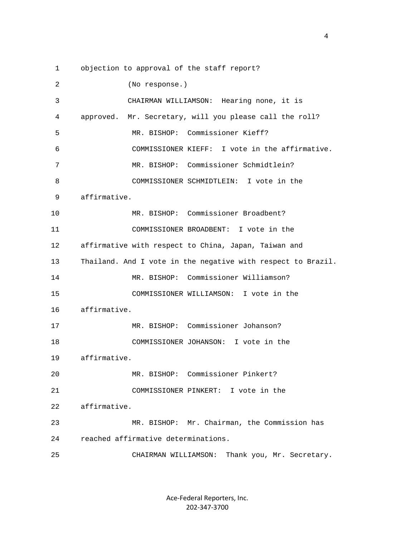1 objection to approval of the staff report?

| $\overline{2}$ | (No response.)                                               |
|----------------|--------------------------------------------------------------|
| 3              | CHAIRMAN WILLIAMSON: Hearing none, it is                     |
| 4              | approved. Mr. Secretary, will you please call the roll?      |
| 5              | MR. BISHOP: Commissioner Kieff?                              |
| 6              | COMMISSIONER KIEFF: I vote in the affirmative.               |
| 7              | MR. BISHOP: Commissioner Schmidtlein?                        |
| 8              | COMMISSIONER SCHMIDTLEIN: I vote in the                      |
| 9              | affirmative.                                                 |
| 10             | MR. BISHOP: Commissioner Broadbent?                          |
| 11             | COMMISSIONER BROADBENT: I vote in the                        |
| 12             | affirmative with respect to China, Japan, Taiwan and         |
| 13             | Thailand. And I vote in the negative with respect to Brazil. |
| 14             | MR. BISHOP: Commissioner Williamson?                         |
| 15             | COMMISSIONER WILLIAMSON: I vote in the                       |
| 16             | affirmative.                                                 |
| 17             | MR. BISHOP: Commissioner Johanson?                           |
| 18             | COMMISSIONER JOHANSON: I vote in the                         |
| 19             | affirmative.                                                 |
| 20             | MR. BISHOP: Commissioner Pinkert?                            |
| 21             | COMMISSIONER PINKERT: I vote in the                          |
| 22             | affirmative.                                                 |
| 23             | MR. BISHOP: Mr. Chairman, the Commission has                 |
| 24             | reached affirmative determinations.                          |
| 25             | CHAIRMAN WILLIAMSON:<br>Thank you, Mr. Secretary.            |

Ace‐Federal Reporters, Inc. 202‐347‐3700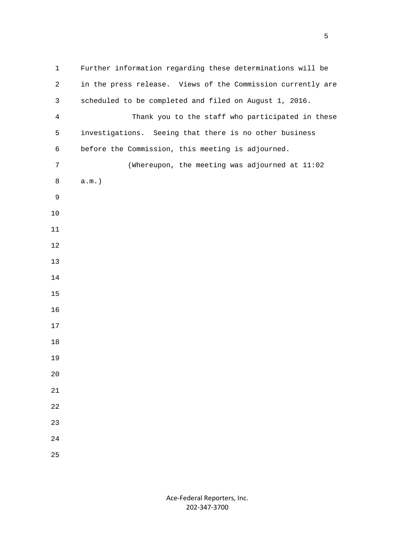1 Further information regarding these determinations will be 2 in the press release. Views of the Commission currently are 3 scheduled to be completed and filed on August 1, 2016. 4 Thank you to the staff who participated in these 5 investigations. Seeing that there is no other business 6 before the Commission, this meeting is adjourned. 7 (Whereupon, the meeting was adjourned at 11:02 8 a.m.)